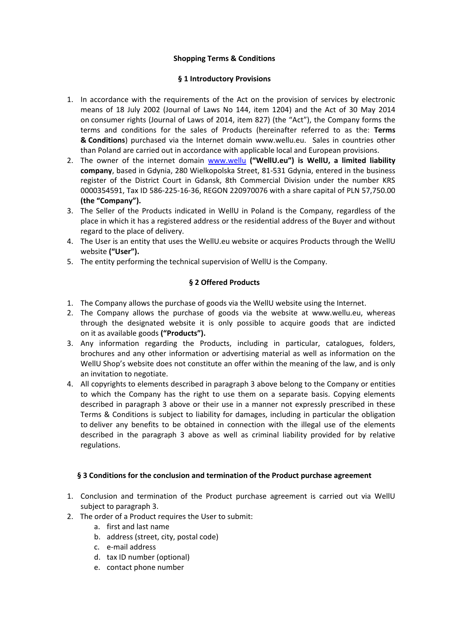# **Shopping Terms & Conditions**

#### **§ 1 Introductory Provisions**

- 1. In accordance with the requirements of the Act on the provision of services by electronic means of 18 July 2002 (Journal of Laws No 144, item 1204) and the Act of 30 May 2014 on consumer rights (Journal of Laws of 2014, item 827) (the "Act"), the Company forms the terms and conditions for the sales of Products (hereinafter referred to as the: **Terms & Conditions**) purchased via the Internet domain www.wellu.eu. Sales in countries other than Poland are carried out in accordance with applicable local and European provisions.
- 2. The owner of the internet domain [www.wellu](http://www.wellu.eu/) **("WellU.eu") is WellU, a limited liability company**, based in Gdynia, 280 Wielkopolska Street, 81-531 Gdynia, entered in the business register of the District Court in Gdansk, 8th Commercial Division under the number KRS 0000354591, Tax ID 586-225-16-36, REGON 220970076 with a share capital of PLN 57,750.00 **(the "Company").**
- 3. The Seller of the Products indicated in WellU in Poland is the Company, regardless of the place in which it has a registered address or the residential address of the Buyer and without regard to the place of delivery.
- 4. The User is an entity that uses the WellU.eu website or acquires Products through the WellU website **("User").**
- 5. The entity performing the technical supervision of WellU is the Company.

# **§ 2 Offered Products**

- 1. The Company allows the purchase of goods via the WellU website using the Internet.
- 2. The Company allows the purchase of goods via the website at www.wellu.eu, whereas through the designated website it is only possible to acquire goods that are indicted on it as available goods **("Products").**
- 3. Any information regarding the Products, including in particular, catalogues, folders, brochures and any other information or advertising material as well as information on the WellU Shop's website does not constitute an offer within the meaning of the law, and is only an invitation to negotiate.
- 4. All copyrights to elements described in paragraph 3 above belong to the Company or entities to which the Company has the right to use them on a separate basis. Copying elements described in paragraph 3 above or their use in a manner not expressly prescribed in these Terms & Conditions is subject to liability for damages, including in particular the obligation to deliver any benefits to be obtained in connection with the illegal use of the elements described in the paragraph 3 above as well as criminal liability provided for by relative regulations.

# **§ 3 Conditions for the conclusion and termination of the Product purchase agreement**

- 1. Conclusion and termination of the Product purchase agreement is carried out via WellU subject to paragraph 3.
- 2. The order of a Product requires the User to submit:
	- a. first and last name
		- b. address (street, city, postal code)
		- c. e-mail address
		- d. tax ID number (optional)
		- e. contact phone number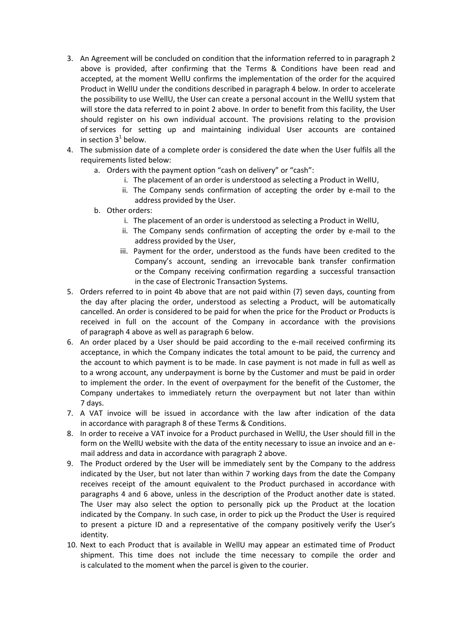- 3. An Agreement will be concluded on condition that the information referred to in paragraph 2 above is provided, after confirming that the Terms & Conditions have been read and accepted, at the moment WellU confirms the implementation of the order for the acquired Product in WellU under the conditions described in paragraph 4 below. In order to accelerate the possibility to use WellU, the User can create a personal account in the WellU system that will store the data referred to in point 2 above. In order to benefit from this facility, the User should register on his own individual account. The provisions relating to the provision of services for setting up and maintaining individual User accounts are contained in section  $3<sup>1</sup>$  below.
- 4. The submission date of a complete order is considered the date when the User fulfils all the requirements listed below:
	- a. Orders with the payment option "cash on delivery" or "cash":
		- i. The placement of an order is understood as selecting a Product in WellU,
		- ii. The Company sends confirmation of accepting the order by e-mail to the address provided by the User.
	- b. Other orders:
		- i. The placement of an order is understood as selecting a Product in WellU,
		- ii. The Company sends confirmation of accepting the order by e-mail to the address provided by the User,
		- iii. Payment for the order, understood as the funds have been credited to the Company's account, sending an irrevocable bank transfer confirmation or the Company receiving confirmation regarding a successful transaction in the case of Electronic Transaction Systems.
- 5. Orders referred to in point 4b above that are not paid within (7) seven days, counting from the day after placing the order, understood as selecting a Product, will be automatically cancelled. An order is considered to be paid for when the price for the Product or Products is received in full on the account of the Company in accordance with the provisions of paragraph 4 above as well as paragraph 6 below.
- 6. An order placed by a User should be paid according to the e-mail received confirming its acceptance, in which the Company indicates the total amount to be paid, the currency and the account to which payment is to be made. In case payment is not made in full as well as to a wrong account, any underpayment is borne by the Customer and must be paid in order to implement the order. In the event of overpayment for the benefit of the Customer, the Company undertakes to immediately return the overpayment but not later than within 7 days.
- 7. A VAT invoice will be issued in accordance with the law after indication of the data in accordance with paragraph 8 of these Terms & Conditions.
- 8. In order to receive a VAT invoice for a Product purchased in WellU, the User should fill in the form on the WellU website with the data of the entity necessary to issue an invoice and an email address and data in accordance with paragraph 2 above.
- 9. The Product ordered by the User will be immediately sent by the Company to the address indicated by the User, but not later than within 7 working days from the date the Company receives receipt of the amount equivalent to the Product purchased in accordance with paragraphs 4 and 6 above, unless in the description of the Product another date is stated. The User may also select the option to personally pick up the Product at the location indicated by the Company. In such case, in order to pick up the Product the User is required to present a picture ID and a representative of the company positively verify the User's identity.
- 10. Next to each Product that is available in WellU may appear an estimated time of Product shipment. This time does not include the time necessary to compile the order and is calculated to the moment when the parcel is given to the courier.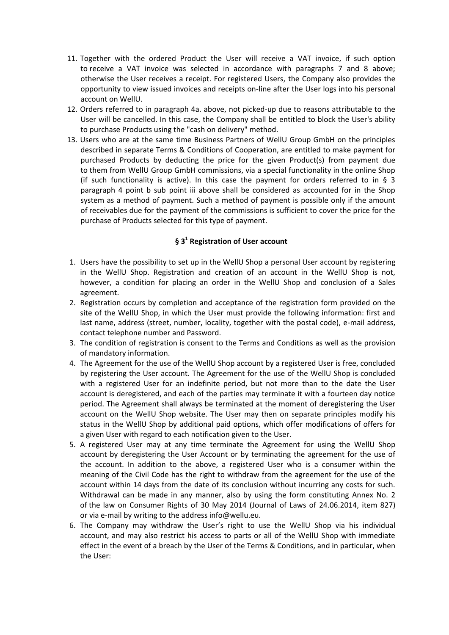- 11. Together with the ordered Product the User will receive a VAT invoice, if such option to receive a VAT invoice was selected in accordance with paragraphs 7 and 8 above; otherwise the User receives a receipt. For registered Users, the Company also provides the opportunity to view issued invoices and receipts on-line after the User logs into his personal account on WellU.
- 12. Orders referred to in paragraph 4a. above, not picked-up due to reasons attributable to the User will be cancelled. In this case, the Company shall be entitled to block the User's ability to purchase Products using the "cash on delivery" method.
- 13. Users who are at the same time Business Partners of WellU Group GmbH on the principles described in separate Terms & Conditions of Cooperation, are entitled to make payment for purchased Products by deducting the price for the given Product(s) from payment due to them from WellU Group GmbH commissions, via a special functionality in the online Shop (if such functionality is active). In this case the payment for orders referred to in § 3 paragraph 4 point b sub point iii above shall be considered as accounted for in the Shop system as a method of payment. Such a method of payment is possible only if the amount of receivables due for the payment of the commissions is sufficient to cover the price for the purchase of Products selected for this type of payment.

# **§ 3<sup>1</sup> Registration of User account**

- 1. Users have the possibility to set up in the WellU Shop a personal User account by registering in the WellU Shop. Registration and creation of an account in the WellU Shop is not, however, a condition for placing an order in the WellU Shop and conclusion of a Sales agreement.
- 2. Registration occurs by completion and acceptance of the registration form provided on the site of the WellU Shop, in which the User must provide the following information: first and last name, address (street, number, locality, together with the postal code), e-mail address, contact telephone number and Password.
- 3. The condition of registration is consent to the Terms and Conditions as well as the provision of mandatory information.
- 4. The Agreement for the use of the WellU Shop account by a registered User is free, concluded by registering the User account. The Agreement for the use of the WellU Shop is concluded with a registered User for an indefinite period, but not more than to the date the User account is deregistered, and each of the parties may terminate it with a fourteen day notice period. The Agreement shall always be terminated at the moment of deregistering the User account on the WellU Shop website. The User may then on separate principles modify his status in the WellU Shop by additional paid options, which offer modifications of offers for a given User with regard to each notification given to the User.
- 5. A registered User may at any time terminate the Agreement for using the WellU Shop account by deregistering the User Account or by terminating the agreement for the use of the account. In addition to the above, a registered User who is a consumer within the meaning of the Civil Code has the right to withdraw from the agreement for the use of the account within 14 days from the date of its conclusion without incurring any costs for such. Withdrawal can be made in any manner, also by using the form constituting Annex No. 2 of the law on Consumer Rights of 30 May 2014 (Journal of Laws of 24.06.2014, item 827) or via e-mail by writing to the address info@wellu.eu.
- 6. The Company may withdraw the User's right to use the WellU Shop via his individual account, and may also restrict his access to parts or all of the WellU Shop with immediate effect in the event of a breach by the User of the Terms & Conditions, and in particular, when the User: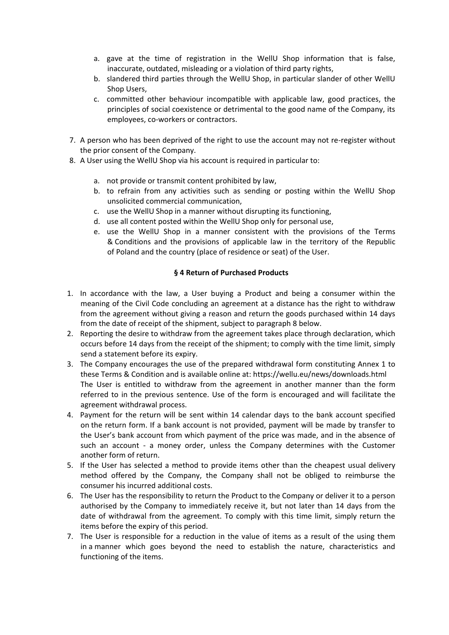- a. gave at the time of registration in the WellU Shop information that is false, inaccurate, outdated, misleading or a violation of third party rights,
- b. slandered third parties through the WellU Shop, in particular slander of other WellU Shop Users,
- c. committed other behaviour incompatible with applicable law, good practices, the principles of social coexistence or detrimental to the good name of the Company, its employees, co-workers or contractors.
- 7. A person who has been deprived of the right to use the account may not re-register without the prior consent of the Company.
- 8. A User using the WellU Shop via his account is required in particular to:
	- a. not provide or transmit content prohibited by law,
	- b. to refrain from any activities such as sending or posting within the WellU Shop unsolicited commercial communication,
	- c. use the WellU Shop in a manner without disrupting its functioning,
	- d. use all content posted within the WellU Shop only for personal use,
	- e. use the WellU Shop in a manner consistent with the provisions of the Terms & Conditions and the provisions of applicable law in the territory of the Republic of Poland and the country (place of residence or seat) of the User.

### **§ 4 Return of Purchased Products**

- 1. In accordance with the law, a User buying a Product and being a consumer within the meaning of the Civil Code concluding an agreement at a distance has the right to withdraw from the agreement without giving a reason and return the goods purchased within 14 days from the date of receipt of the shipment, subject to paragraph 8 below.
- 2. Reporting the desire to withdraw from the agreement takes place through declaration, which occurs before 14 days from the receipt of the shipment; to comply with the time limit, simply send a statement before its expiry.
- 3. The Company encourages the use of the prepared withdrawal form constituting Annex 1 to these Terms & Condition and is available online at: https://wellu.eu/news/downloads.html The User is entitled to withdraw from the agreement in another manner than the form referred to in the previous sentence. Use of the form is encouraged and will facilitate the agreement withdrawal process.
- 4. Payment for the return will be sent within 14 calendar days to the bank account specified on the return form. If a bank account is not provided, payment will be made by transfer to the User's bank account from which payment of the price was made, and in the absence of such an account - a money order, unless the Company determines with the Customer another form of return.
- 5. If the User has selected a method to provide items other than the cheapest usual delivery method offered by the Company, the Company shall not be obliged to reimburse the consumer his incurred additional costs.
- 6. The User has the responsibility to return the Product to the Company or deliver it to a person authorised by the Company to immediately receive it, but not later than 14 days from the date of withdrawal from the agreement. To comply with this time limit, simply return the items before the expiry of this period.
- 7. The User is responsible for a reduction in the value of items as a result of the using them in a manner which goes beyond the need to establish the nature, characteristics and functioning of the items.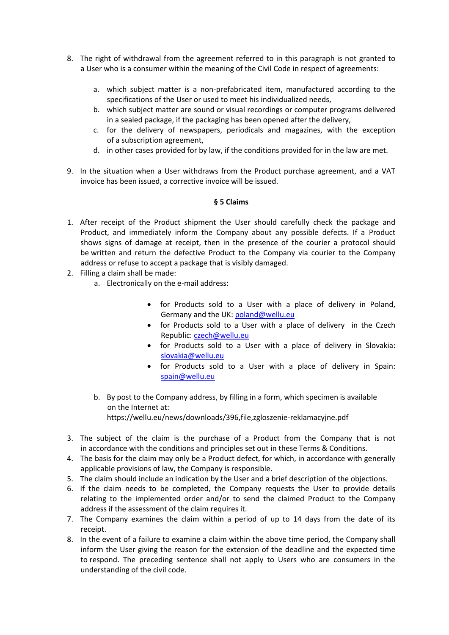- 8. The right of withdrawal from the agreement referred to in this paragraph is not granted to a User who is a consumer within the meaning of the Civil Code in respect of agreements:
	- a. which subject matter is a non-prefabricated item, manufactured according to the specifications of the User or used to meet his individualized needs,
	- b. which subject matter are sound or visual recordings or computer programs delivered in a sealed package, if the packaging has been opened after the delivery,
	- c. for the delivery of newspapers, periodicals and magazines, with the exception of a subscription agreement,
	- d. in other cases provided for by law, if the conditions provided for in the law are met.
- 9. In the situation when a User withdraws from the Product purchase agreement, and a VAT invoice has been issued, a corrective invoice will be issued.

### **§ 5 Claims**

- 1. After receipt of the Product shipment the User should carefully check the package and Product, and immediately inform the Company about any possible defects. If a Product shows signs of damage at receipt, then in the presence of the courier a protocol should be written and return the defective Product to the Company via courier to the Company address or refuse to accept a package that is visibly damaged.
- 2. Filling a claim shall be made:
	- a. Electronically on the e-mail address:
		- for Products sold to a User with a place of delivery in Poland, Germany and the UK: [poland@wellu.eu](mailto:poland@wellu.eu)
		- for Products sold to a User with a place of delivery in the Czech Republic: [czech@wellu.eu](mailto:czech@wellu.eu)
		- for Products sold to a User with a place of delivery in Slovakia: [slovakia@wellu.eu](mailto:slovakia@wellu.eu)
		- for Products sold to a User with a place of delivery in Spain: [spain@wellu.eu](mailto:spain@wellu.eu)
	- b. By post to the Company address, by filling in a form, which specimen is available on the Internet at: <https://wellu.eu/news/downloads/396,file,zgloszenie-reklamacyjne.pdf>
- 3. The subject of the claim is the purchase of a Product from the Company that is not in accordance with the conditions and principles set out in these Terms & Conditions.
- 4. The basis for the claim may only be a Product defect, for which, in accordance with generally applicable provisions of law, the Company is responsible.
- 5. The claim should include an indication by the User and a brief description of the objections.
- 6. If the claim needs to be completed, the Company requests the User to provide details relating to the implemented order and/or to send the claimed Product to the Company address if the assessment of the claim requires it.
- 7. The Company examines the claim within a period of up to 14 days from the date of its receipt.
- 8. In the event of a failure to examine a claim within the above time period, the Company shall inform the User giving the reason for the extension of the deadline and the expected time to respond. The preceding sentence shall not apply to Users who are consumers in the understanding of the civil code.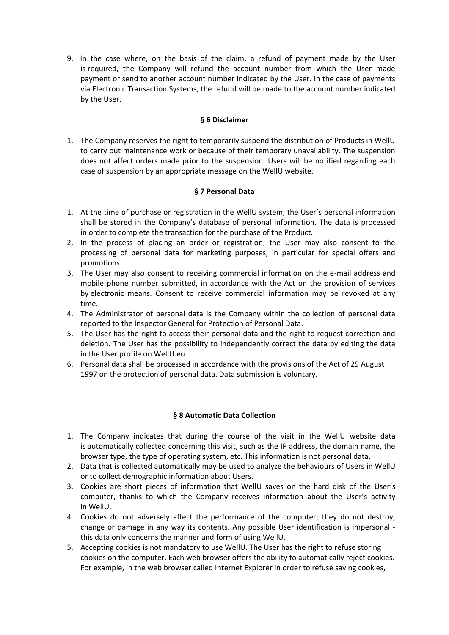9. In the case where, on the basis of the claim, a refund of payment made by the User is required, the Company will refund the account number from which the User made payment or send to another account number indicated by the User. In the case of payments via Electronic Transaction Systems, the refund will be made to the account number indicated by the User.

### **§ 6 Disclaimer**

1. The Company reserves the right to temporarily suspend the distribution of Products in WellU to carry out maintenance work or because of their temporary unavailability. The suspension does not affect orders made prior to the suspension. Users will be notified regarding each case of suspension by an appropriate message on the WellU website.

# **§ 7 Personal Data**

- 1. At the time of purchase or registration in the WellU system, the User's personal information shall be stored in the Company's database of personal information. The data is processed in order to complete the transaction for the purchase of the Product.
- 2. In the process of placing an order or registration, the User may also consent to the processing of personal data for marketing purposes, in particular for special offers and promotions.
- 3. The User may also consent to receiving commercial information on the e-mail address and mobile phone number submitted, in accordance with the Act on the provision of services by electronic means. Consent to receive commercial information may be revoked at any time.
- 4. The Administrator of personal data is the Company within the collection of personal data reported to the Inspector General for Protection of Personal Data.
- 5. The User has the right to access their personal data and the right to request correction and deletion. The User has the possibility to independently correct the data by editing the data in the User profile on WellU.eu
- 6. Personal data shall be processed in accordance with the provisions of the Act of 29 August 1997 on the protection of personal data. Data submission is voluntary.

# **§ 8 Automatic Data Collection**

- 1. The Company indicates that during the course of the visit in the WellU website data is automatically collected concerning this visit, such as the IP address, the domain name, the browser type, the type of operating system, etc. This information is not personal data.
- 2. Data that is collected automatically may be used to analyze the behaviours of Users in WellU or to collect demographic information about Users.
- 3. Cookies are short pieces of information that WellU saves on the hard disk of the User's computer, thanks to which the Company receives information about the User's activity in WellU.
- 4. Cookies do not adversely affect the performance of the computer; they do not destroy, change or damage in any way its contents. Any possible User identification is impersonal this data only concerns the manner and form of using WellU.
- 5. Accepting cookies is not mandatory to use WellU. The User has the right to refuse storing cookies on the computer. Each web browser offers the ability to automatically reject cookies. For example, in the web browser called Internet Explorer in order to refuse saving cookies,